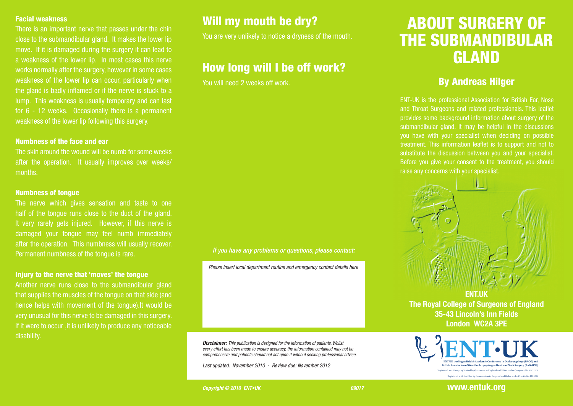#### Facial weakness

There is an important nerve that passes under the chin close to the submandibular gland. It makes the lower lip move. If it is damaged during the surgery it can lead to a weakness of the lower lip. In most cases this nerve works normally after the surgery, however in some cases weakness of the lower lip can occur, particularly when the gland is badly inflamed or if the nerve is stuck to a lump. This weakness is usually temporary and can last for 6 - 12 weeks. Occasionally there is a permanent weakness of the lower lip following this surgery.

#### Numbness of the face and ear

The skin around the wound will be numb for some weeks after the operation. It usually improves over weeks/ months.

#### Numbness of tongue

The nerve which gives sensation and taste to one half of the tongue runs close to the duct of the gland. It very rarely gets injured. However, if this nerve is damaged your tongue may feel numb immediately after the operation. This numbness will usually recover. Permanent numbness of the tongue is rare.

### Injury to the nerve that 'moves' the tongue

Another nerve runs close to the submandibular gland that supplies the muscles of the tongue on that side (and hence helps with movement of the tongue).It would be very unusual for this nerve to be damaged in this surgery. If it were to occur ,it is unlikely to produce any noticeable disability.

### Will my mouth be dry?

You are very unlikely to notice a dryness of the mouth.

### How long will I be off work?

You will need 2 weeks off work.

#### *If you have any problems or questions, please contact:*

*Please insert local department routine and emergency contact details here*

*Disclaimer: This publication is designed for the information of patients. Whilst every effort has been made to ensure accuracy, the information contained may not be comprehensive and patients should not act upon it without seeking professional advice.*

*Last updated: November 2010 - Review due: November 2012* 

# ABOUT SURGERY OF THE SUBMANDIBULAR GLAND

### By Andreas Hilger

ENT-UK is the professional Association for British Ear, Nose and Throat Surgeons and related professionals. This leaflet provides some background information about surgery of the submandibular gland. It may be helpful in the discussions treatment. This information leaflet is to support and not to substitute the discussion between you and your specialist. Before you give your consent to the treatment, you should raise any concerns with your specialist.



**The Royal College of Surgeons of England 35-43 Lincoln's Inn Fields London WC2A 3PE**



**Copyright © 2010 ENT•UK** 09017

**www.entuk.org**